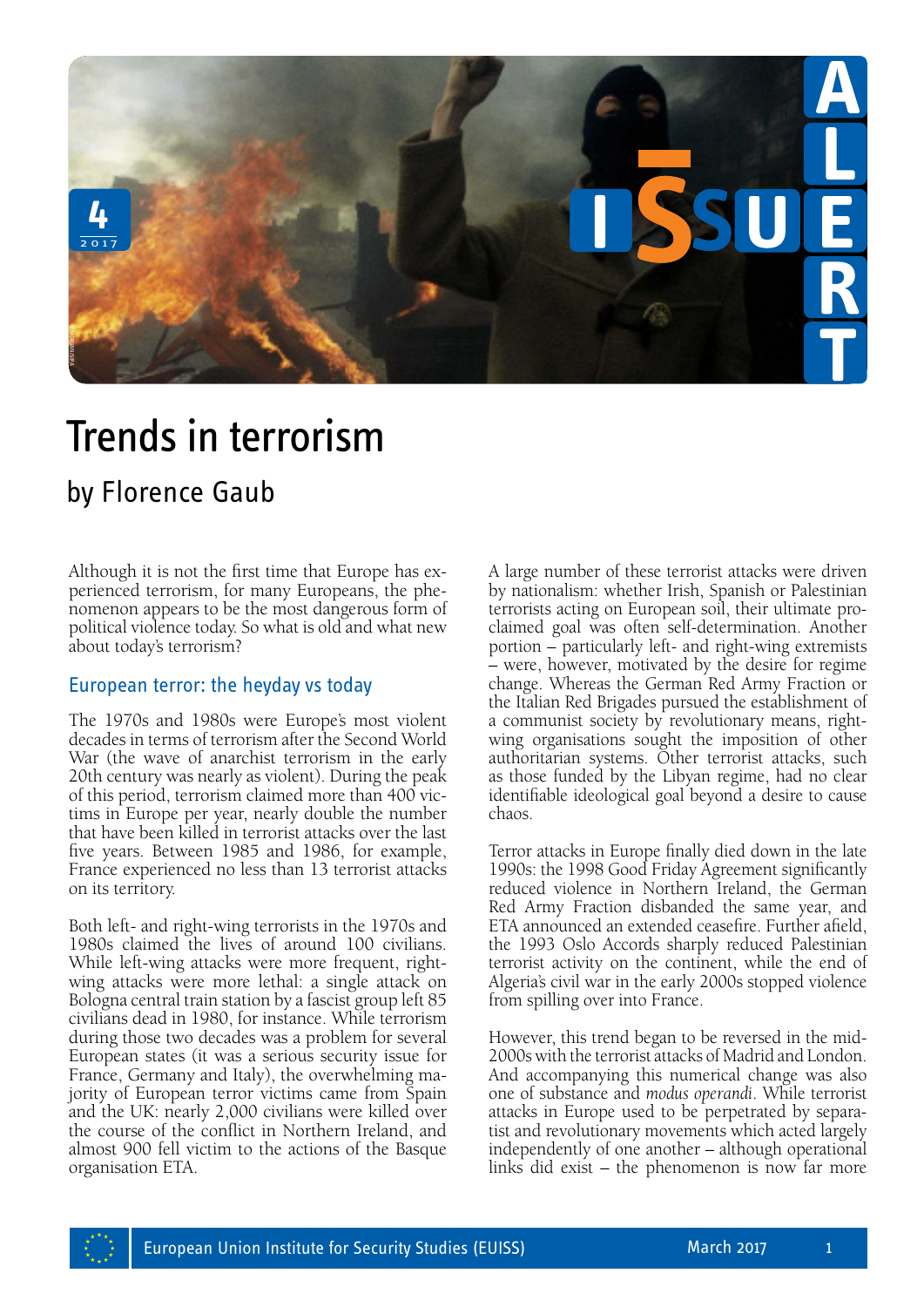

## Trends in terrorism **Frends in ter**<br>Trends in ter

Although it is not the first time that Europe has experienced terrorism, for many Europeans, the phenomenon appears to be the most dangerous form of political violence today. So what is old and what new about today's terrorism?

## European terror: the heyday vs today

The 1970s and 1980s were Europe's most violent decades in terms of terrorism after the Second World War (the wave of anarchist terrorism in the early 20th century was nearly as violent). During the peak of this period, terrorism claimed more than 400 victims in Europe per year, nearly double the number that have been killed in terrorist attacks over the last five years. Between 1985 and 1986, for example, France experienced no less than 13 terrorist attacks on its territory.

Both left- and right-wing terrorists in the 1970s and 1980s claimed the lives of around 100 civilians. While left-wing attacks were more frequent, rightwing attacks were more lethal: a single attack on Bologna central train station by a fascist group left 85 civilians dead in 1980, for instance. While terrorism during those two decades was a problem for several European states (it was a serious security issue for France, Germany and Italy), the overwhelming majority of European terror victims came from Spain and the UK: nearly 2,000 civilians were killed over the course of the conflict in Northern Ireland, and almost 900 fell victim to the actions of the Basque organisation ETA.

A large number of these terrorist attacks were driven by nationalism: whether Irish, Spanish or Palestinian terrorists acting on European soil, their ultimate proclaimed goal was often self-determination. Another portion – particularly left- and right-wing extremists – were, however, motivated by the desire for regime change. Whereas the German Red Army Fraction or the Italian Red Brigades pursued the establishment of a communist society by revolutionary means, rightwing organisations sought the imposition of other authoritarian systems. Other terrorist attacks, such as those funded by the Libyan regime, had no clear identifiable ideological goal beyond a desire to cause chaos.

Terror attacks in Europe finally died down in the late 1990s: the 1998 Good Friday Agreement significantly reduced violence in Northern Ireland, the German Red Army Fraction disbanded the same year, and ETA announced an extended ceasefire. Further afield, the 1993 Oslo Accords sharply reduced Palestinian terrorist activity on the continent, while the end of Algeria's civil war in the early 2000s stopped violence from spilling over into France.

However, this trend began to be reversed in the mid-2000s with the terrorist attacks of Madrid and London. And accompanying this numerical change was also one of substance and *modus operandi*. While terrorist attacks in Europe used to be perpetrated by separatist and revolutionary movements which acted largely independently of one another – although operational links did exist – the phenomenon is now far more